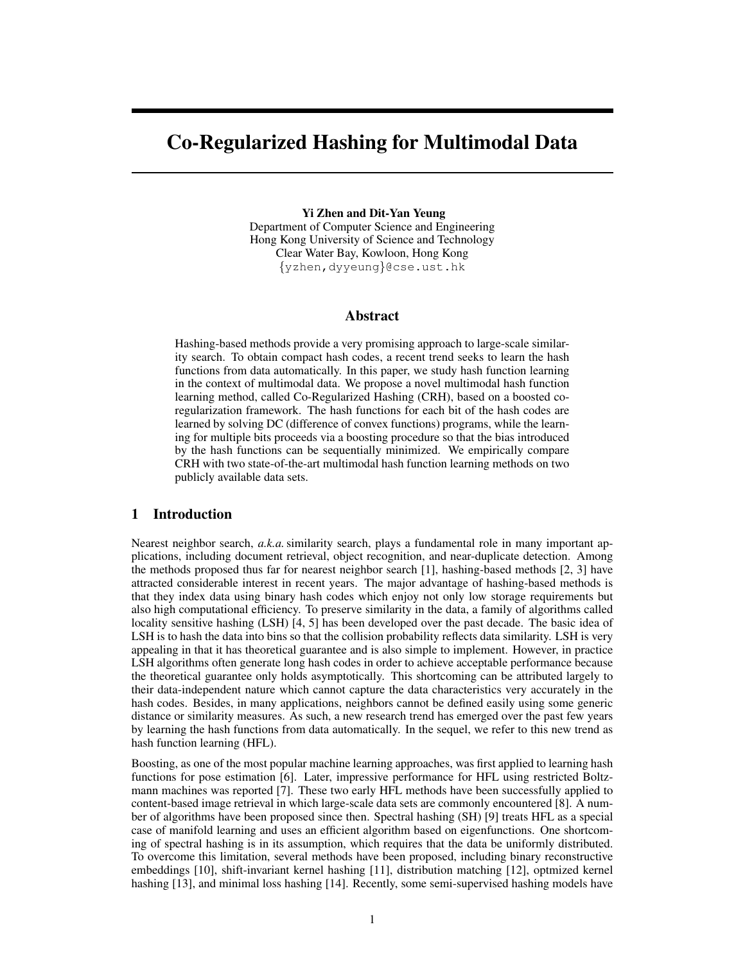# Co-Regularized Hashing for Multimodal Data

#### Yi Zhen and Dit-Yan Yeung

Department of Computer Science and Engineering Hong Kong University of Science and Technology Clear Water Bay, Kowloon, Hong Kong {yzhen,dyyeung}@cse.ust.hk

# Abstract

Hashing-based methods provide a very promising approach to large-scale similarity search. To obtain compact hash codes, a recent trend seeks to learn the hash functions from data automatically. In this paper, we study hash function learning in the context of multimodal data. We propose a novel multimodal hash function learning method, called Co-Regularized Hashing (CRH), based on a boosted coregularization framework. The hash functions for each bit of the hash codes are learned by solving DC (difference of convex functions) programs, while the learning for multiple bits proceeds via a boosting procedure so that the bias introduced by the hash functions can be sequentially minimized. We empirically compare CRH with two state-of-the-art multimodal hash function learning methods on two publicly available data sets.

# 1 Introduction

Nearest neighbor search, *a.k.a.*similarity search, plays a fundamental role in many important applications, including document retrieval, object recognition, and near-duplicate detection. Among the methods proposed thus far for nearest neighbor search [1], hashing-based methods [2, 3] have attracted considerable interest in recent years. The major advantage of hashing-based methods is that they index data using binary hash codes which enjoy not only low storage requirements but also high computational efficiency. To preserve similarity in the data, a family of algorithms called locality sensitive hashing (LSH) [4, 5] has been developed over the past decade. The basic idea of LSH is to hash the data into bins so that the collision probability reflects data similarity. LSH is very appealing in that it has theoretical guarantee and is also simple to implement. However, in practice LSH algorithms often generate long hash codes in order to achieve acceptable performance because the theoretical guarantee only holds asymptotically. This shortcoming can be attributed largely to their data-independent nature which cannot capture the data characteristics very accurately in the hash codes. Besides, in many applications, neighbors cannot be defined easily using some generic distance or similarity measures. As such, a new research trend has emerged over the past few years by learning the hash functions from data automatically. In the sequel, we refer to this new trend as hash function learning (HFL).

Boosting, as one of the most popular machine learning approaches, was first applied to learning hash functions for pose estimation [6]. Later, impressive performance for HFL using restricted Boltzmann machines was reported [7]. These two early HFL methods have been successfully applied to content-based image retrieval in which large-scale data sets are commonly encountered [8]. A number of algorithms have been proposed since then. Spectral hashing (SH) [9] treats HFL as a special case of manifold learning and uses an efficient algorithm based on eigenfunctions. One shortcoming of spectral hashing is in its assumption, which requires that the data be uniformly distributed. To overcome this limitation, several methods have been proposed, including binary reconstructive embeddings [10], shift-invariant kernel hashing [11], distribution matching [12], optmized kernel hashing [13], and minimal loss hashing [14]. Recently, some semi-supervised hashing models have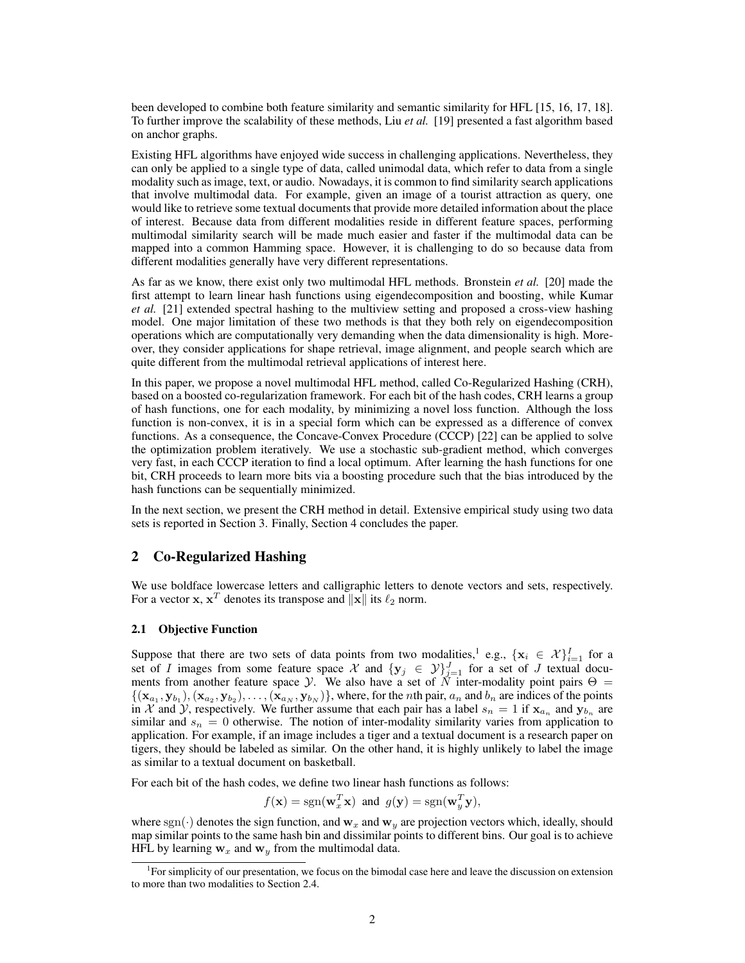been developed to combine both feature similarity and semantic similarity for HFL [15, 16, 17, 18]. To further improve the scalability of these methods, Liu *et al.* [19] presented a fast algorithm based on anchor graphs.

Existing HFL algorithms have enjoyed wide success in challenging applications. Nevertheless, they can only be applied to a single type of data, called unimodal data, which refer to data from a single modality such as image, text, or audio. Nowadays, it is common to find similarity search applications that involve multimodal data. For example, given an image of a tourist attraction as query, one would like to retrieve some textual documents that provide more detailed information about the place of interest. Because data from different modalities reside in different feature spaces, performing multimodal similarity search will be made much easier and faster if the multimodal data can be mapped into a common Hamming space. However, it is challenging to do so because data from different modalities generally have very different representations.

As far as we know, there exist only two multimodal HFL methods. Bronstein *et al.* [20] made the first attempt to learn linear hash functions using eigendecomposition and boosting, while Kumar *et al.* [21] extended spectral hashing to the multiview setting and proposed a cross-view hashing model. One major limitation of these two methods is that they both rely on eigendecomposition operations which are computationally very demanding when the data dimensionality is high. Moreover, they consider applications for shape retrieval, image alignment, and people search which are quite different from the multimodal retrieval applications of interest here.

In this paper, we propose a novel multimodal HFL method, called Co-Regularized Hashing (CRH), based on a boosted co-regularization framework. For each bit of the hash codes, CRH learns a group of hash functions, one for each modality, by minimizing a novel loss function. Although the loss function is non-convex, it is in a special form which can be expressed as a difference of convex functions. As a consequence, the Concave-Convex Procedure (CCCP) [22] can be applied to solve the optimization problem iteratively. We use a stochastic sub-gradient method, which converges very fast, in each CCCP iteration to find a local optimum. After learning the hash functions for one bit, CRH proceeds to learn more bits via a boosting procedure such that the bias introduced by the hash functions can be sequentially minimized.

In the next section, we present the CRH method in detail. Extensive empirical study using two data sets is reported in Section 3. Finally, Section 4 concludes the paper.

# 2 Co-Regularized Hashing

We use boldface lowercase letters and calligraphic letters to denote vectors and sets, respectively. For a vector **x**,  $x^T$  denotes its transpose and  $\|\mathbf{x}\|$  its  $\ell_2$  norm.

### 2.1 Objective Function

Suppose that there are two sets of data points from two modalities,<sup>1</sup> e.g.,  $\{x_i \in \mathcal{X}\}_{i=1}^I$  for a set of I images from some feature space X and  $\{y_j \in \mathcal{Y}\}_{j=1}^J$  for a set of J textual documents from another feature space Y. We also have a set of  $\tilde{N}$  inter-modality point pairs  $\Theta =$  $\{(\mathbf{x}_{a_1}, \mathbf{y}_{b_1}), (\mathbf{x}_{a_2}, \mathbf{y}_{b_2}), \ldots, (\mathbf{x}_{a_N}, \mathbf{y}_{b_N})\}\$ , where, for the *n*th pair,  $a_n$  and  $b_n$  are indices of the points in X and Y, respectively. We further assume that each pair has a label  $s_n = 1$  if  $\mathbf{x}_{a_n}$  and  $\mathbf{y}_{b_n}$  are similar and  $s_n = 0$  otherwise. The notion of inter-modality similarity varies from application to application. For example, if an image includes a tiger and a textual document is a research paper on tigers, they should be labeled as similar. On the other hand, it is highly unlikely to label the image as similar to a textual document on basketball.

For each bit of the hash codes, we define two linear hash functions as follows:

$$
f(\mathbf{x}) = sgn(\mathbf{w}_x^T \mathbf{x})
$$
 and  $g(\mathbf{y}) = sgn(\mathbf{w}_y^T \mathbf{y})$ ,

where sgn( $\cdot$ ) denotes the sign function, and  $w_x$  and  $w_y$  are projection vectors which, ideally, should map similar points to the same hash bin and dissimilar points to different bins. Our goal is to achieve HFL by learning  $w_x$  and  $w_y$  from the multimodal data.

<sup>&</sup>lt;sup>1</sup>For simplicity of our presentation, we focus on the bimodal case here and leave the discussion on extension to more than two modalities to Section 2.4.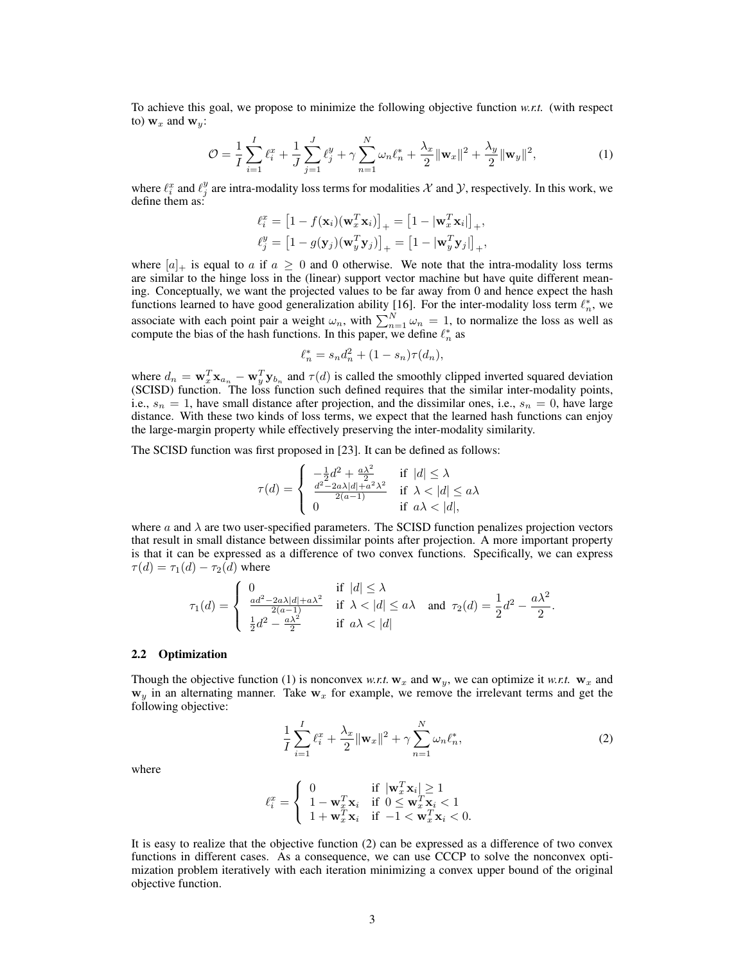To achieve this goal, we propose to minimize the following objective function *w.r.t.* (with respect to)  $w_x$  and  $w_y$ :

$$
\mathcal{O} = \frac{1}{I} \sum_{i=1}^{I} \ell_i^x + \frac{1}{J} \sum_{j=1}^{J} \ell_j^y + \gamma \sum_{n=1}^{N} \omega_n \ell_n^* + \frac{\lambda_x}{2} ||\mathbf{w}_x||^2 + \frac{\lambda_y}{2} ||\mathbf{w}_y||^2, \tag{1}
$$

where  $\ell_i^x$  and  $\ell_j^y$  are intra-modality loss terms for modalities X and Y, respectively. In this work, we define them as:

$$
\ell_i^x = \left[1 - f(\mathbf{x}_i)(\mathbf{w}_x^T \mathbf{x}_i)\right]_+ = \left[1 - |\mathbf{w}_x^T \mathbf{x}_i|\right]_+, \n\ell_j^y = \left[1 - g(\mathbf{y}_j)(\mathbf{w}_y^T \mathbf{y}_j)\right]_+ = \left[1 - |\mathbf{w}_y^T \mathbf{y}_j|\right]_+,
$$

where  $[a]_+$  is equal to a if  $a \geq 0$  and 0 otherwise. We note that the intra-modality loss terms are similar to the hinge loss in the (linear) support vector machine but have quite different meaning. Conceptually, we want the projected values to be far away from 0 and hence expect the hash functions learned to have good generalization ability [16]. For the inter-modality loss term  $\ell_n^*$ , we associate with each point pair a weight  $\omega_n$ , with  $\sum_{n=1}^{N} \omega_n = 1$ , to normalize the loss as well as compute the bias of the hash functions. In this paper, we define  $\ell_n^*$  as

$$
\ell_n^* = s_n d_n^2 + (1 - s_n) \tau(d_n),
$$

where  $d_n = \mathbf{w}_x^T \mathbf{x}_{a_n} - \mathbf{w}_y^T \mathbf{y}_{b_n}$  and  $\tau(d)$  is called the smoothly clipped inverted squared deviation (SCISD) function. The loss function such defined requires that the similar inter-modality points, i.e.,  $s_n = 1$ , have small distance after projection, and the dissimilar ones, i.e.,  $s_n = 0$ , have large distance. With these two kinds of loss terms, we expect that the learned hash functions can enjoy the large-margin property while effectively preserving the inter-modality similarity.

The SCISD function was first proposed in [23]. It can be defined as follows:

$$
\tau(d) = \begin{cases}\n-\frac{1}{2}d^2 + \frac{a\lambda^2}{2} & \text{if } |d| \le \lambda \\
\frac{d^2 - 2a\lambda|d| + a^2\lambda^2}{2(a-1)} & \text{if } \lambda < |d| \le a\lambda \\
0 & \text{if } a\lambda < |d|,\n\end{cases}
$$

where  $\alpha$  and  $\lambda$  are two user-specified parameters. The SCISD function penalizes projection vectors that result in small distance between dissimilar points after projection. A more important property is that it can be expressed as a difference of two convex functions. Specifically, we can express  $\tau(d) = \tau_1(d) - \tau_2(d)$  where

$$
\tau_1(d) = \begin{cases}\n0 & \text{if } |d| \le \lambda \\
\frac{ad^2 - 2a\lambda|d| + a\lambda^2}{2(a-1)} & \text{if } \lambda < |d| \le a\lambda \quad \text{and } \tau_2(d) = \frac{1}{2}d^2 - \frac{a\lambda^2}{2} \\
\frac{1}{2}d^2 - \frac{a\lambda^2}{2} & \text{if } a\lambda < |d| \n\end{cases}
$$

#### 2.2 Optimization

Though the objective function (1) is nonconvex *w.r.t.*  $w_x$  and  $w_y$ , we can optimize it *w.r.t.*  $w_x$  and  $w_y$  in an alternating manner. Take  $w_x$  for example, we remove the irrelevant terms and get the following objective:

$$
\frac{1}{I} \sum_{i=1}^{I} \ell_i^x + \frac{\lambda_x}{2} ||\mathbf{w}_x||^2 + \gamma \sum_{n=1}^{N} \omega_n \ell_n^*,
$$
\n(2)

where

$$
\ell_i^x = \left\{ \begin{array}{ll} 0 & \text{if } |\mathbf{w}_x^T \mathbf{x}_i| \geq 1 \\ 1 - \mathbf{w}_x^T \mathbf{x}_i & \text{if } 0 \leq \mathbf{w}_x^T \mathbf{x}_i < 1 \\ 1 + \mathbf{w}_x^T \mathbf{x}_i & \text{if } -1 < \mathbf{w}_x^T \mathbf{x}_i < 0. \end{array} \right.
$$

It is easy to realize that the objective function (2) can be expressed as a difference of two convex functions in different cases. As a consequence, we can use CCCP to solve the nonconvex optimization problem iteratively with each iteration minimizing a convex upper bound of the original objective function.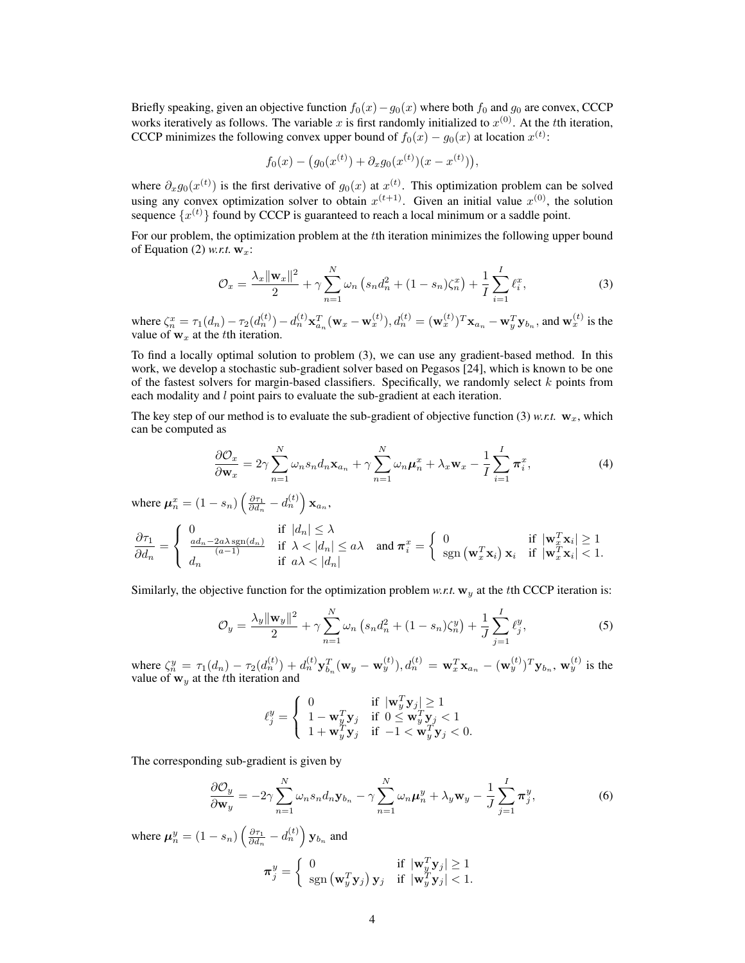Briefly speaking, given an objective function  $f_0(x)-g_0(x)$  where both  $f_0$  and  $g_0$  are convex, CCCP works iteratively as follows. The variable x is first randomly initialized to  $x^{(0)}$ . At the tth iteration, CCCP minimizes the following convex upper bound of  $f_0(x) - g_0(x)$  at location  $x^{(t)}$ :

$$
f_0(x) - (g_0(x^{(t)}) + \partial_x g_0(x^{(t)})(x - x^{(t)})),
$$

where  $\partial_x g_0(x^{(t)})$  is the first derivative of  $g_0(x)$  at  $x^{(t)}$ . This optimization problem can be solved using any convex optimization solver to obtain  $x^{(t+1)}$ . Given an initial value  $x^{(0)}$ , the solution sequence  $\{x^{(t)}\}$  found by CCCP is guaranteed to reach a local minimum or a saddle point.

For our problem, the optimization problem at the tth iteration minimizes the following upper bound of Equation (2) *w.r.t.*  $w<sub>x</sub>$ :

$$
\mathcal{O}_x = \frac{\lambda_x \|\mathbf{w}_x\|^2}{2} + \gamma \sum_{n=1}^N \omega_n \left( s_n d_n^2 + (1 - s_n) \zeta_n^x \right) + \frac{1}{I} \sum_{i=1}^I \ell_i^x, \tag{3}
$$

where  $\zeta_n^x = \tau_1(d_n) - \tau_2(d_n^{(t)}) - d_n^{(t)} \mathbf{x}_{a_n}^T(\mathbf{w}_x - \mathbf{w}_x^{(t)}), d_n^{(t)} = (\mathbf{w}_x^{(t)})^T \mathbf{x}_{a_n} - \mathbf{w}_y^T \mathbf{y}_{b_n}$ , and  $\mathbf{w}_x^{(t)}$  is the value of  $w_x$  at the t<sup>th</sup> iteration.

To find a locally optimal solution to problem (3), we can use any gradient-based method. In this work, we develop a stochastic sub-gradient solver based on Pegasos [24], which is known to be one of the fastest solvers for margin-based classifiers. Specifically, we randomly select  $k$  points from each modality and *l* point pairs to evaluate the sub-gradient at each iteration.

The key step of our method is to evaluate the sub-gradient of objective function (3) *w.r.t.*  $w_x$ , which can be computed as

$$
\frac{\partial \mathcal{O}_x}{\partial \mathbf{w}_x} = 2\gamma \sum_{n=1}^N \omega_n s_n d_n \mathbf{x}_{a_n} + \gamma \sum_{n=1}^N \omega_n \boldsymbol{\mu}_n^x + \lambda_x \mathbf{w}_x - \frac{1}{I} \sum_{i=1}^I \boldsymbol{\pi}_i^x, \tag{4}
$$

where  $\mu_n^x = (1 - s_n) \left( \frac{\partial \tau_1}{\partial d_n} - d_n^{(t)} \right) \mathbf{x}_{a_n}$ ,

$$
\frac{\partial \tau_1}{\partial d_n} = \begin{cases} 0 & \text{if } |d_n| \le \lambda \\ \frac{ad_n - 2a\lambda \operatorname{sgn}(d_n)}{(a-1)} & \text{if } \lambda < |d_n| \le a\lambda \\ d_n & \text{if } a\lambda < |d_n| \end{cases} \text{ and } \boldsymbol{\pi}_i^x = \begin{cases} 0 & \text{if } |\mathbf{w}_x^T \mathbf{x}_i| \ge 1 \\ \operatorname{sgn}(\mathbf{w}_x^T \mathbf{x}_i) \mathbf{x}_i & \text{if } |\mathbf{w}_x^T \mathbf{x}_i| < 1. \end{cases}
$$

Similarly, the objective function for the optimization problem *w.r.t.*  $w_y$  at the *t*th CCCP iteration is:

$$
\mathcal{O}_y = \frac{\lambda_y \|\mathbf{w}_y\|^2}{2} + \gamma \sum_{n=1}^N \omega_n \left( s_n d_n^2 + (1 - s_n) \zeta_n^y \right) + \frac{1}{J} \sum_{j=1}^I \ell_j^y,
$$
(5)

where  $\zeta_n^y = \tau_1(d_n) - \tau_2(d_n^{(t)}) + d_n^{(t)} \mathbf{y}_{b_n}^T(\mathbf{w}_y - \mathbf{w}_y^{(t)}), d_n^{(t)} = \mathbf{w}_x^T \mathbf{x}_{a_n} - (\mathbf{w}_y^{(t)})^T \mathbf{y}_{b_n}, \mathbf{w}_y^{(t)}$  is the value of  $w_y$  at the tth iteration and

$$
\ell_j^y = \left\{ \begin{array}{ll} 0 & \text{if } |\mathbf{w}_y^T \mathbf{y}_j| \geq 1 \\ 1 - \mathbf{w}_y^T \mathbf{y}_j & \text{if } 0 \leq \mathbf{w}_y^T \mathbf{y}_j < 1 \\ 1 + \mathbf{w}_y^T \mathbf{y}_j & \text{if } -1 < \mathbf{w}_y^T \mathbf{y}_j < 0. \end{array} \right.
$$

The corresponding sub-gradient is given by

$$
\frac{\partial \mathcal{O}_y}{\partial \mathbf{w}_y} = -2\gamma \sum_{n=1}^N \omega_n s_n d_n \mathbf{y}_{b_n} - \gamma \sum_{n=1}^N \omega_n \boldsymbol{\mu}_n^y + \lambda_y \mathbf{w}_y - \frac{1}{J} \sum_{j=1}^I \boldsymbol{\pi}_j^y,
$$
(6)

where  $\mu_n^y = (1 - s_n) \left( \frac{\partial \tau_1}{\partial d_n} - d_n^{(t)} \right) \mathbf{y}_{b_n}$  and  $\pi_j^y = \begin{cases} 0 & \text{if } |\mathbf{w}_y^T \mathbf{y}_j| \ge 1 \\ \text{son } (\mathbf{w}^T \mathbf{v}_j) \mathbf{v}_j & \text{if } |\mathbf{w}_y^T \mathbf{v}_j| < 1 \end{cases}$  $\operatorname{sgn}\left(\mathbf{w}_{y}^{T}\mathbf{y}_{j}\right)\mathbf{y}_{j}$  if  $|\mathbf{w}_{y}^{T}\mathbf{y}_{j}| < 1$ .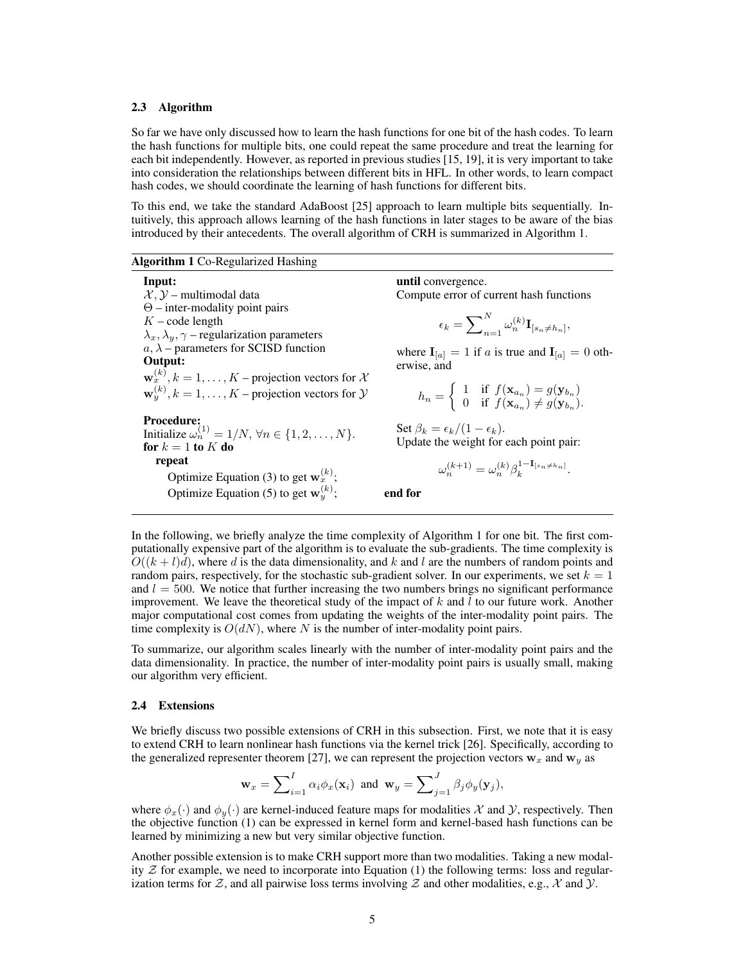#### 2.3 Algorithm

So far we have only discussed how to learn the hash functions for one bit of the hash codes. To learn the hash functions for multiple bits, one could repeat the same procedure and treat the learning for each bit independently. However, as reported in previous studies [15, 19], it is very important to take into consideration the relationships between different bits in HFL. In other words, to learn compact hash codes, we should coordinate the learning of hash functions for different bits.

To this end, we take the standard AdaBoost [25] approach to learn multiple bits sequentially. Intuitively, this approach allows learning of the hash functions in later stages to be aware of the bias introduced by their antecedents. The overall algorithm of CRH is summarized in Algorithm 1.

#### Algorithm 1 Co-Regularized Hashing

Input:  $\mathcal{X}, \mathcal{Y}$  – multimodal data Θ – inter-modality point pairs  $K$  – code length  $\lambda_x, \lambda_y, \gamma$  – regularization parameters  $a, \lambda$  – parameters for SCISD function Output:  $\mathbf{w}_x^{(k)}, k = 1, \dots, K$  – projection vectors for  $\mathcal{X}$  $\mathbf{w}_y^{(k)}, k=1,\ldots,K$  – projection vectors for  $\mathcal Y$ Procedure: Initialize  $\omega_n^{(1)} = 1/N$ ,  $\forall n \in \{1, 2, ..., N\}$ . for  $k = 1$  to  $K$  do repeat Optimize Equation (3) to get  $w_x^{(k)}$ ; Optimize Equation (5) to get  $\mathbf{w}_y^{(k)}$ ;

until convergence. Compute error of current hash functions

$$
\epsilon_k = \sum\nolimits_{n=1}^{N} \omega_n^{(k)} \mathbf{I}_{[s_n \neq h_n]},
$$

where  $\mathbf{I}_{[a]} = 1$  if a is true and  $\mathbf{I}_{[a]} = 0$  otherwise, and

$$
h_n = \begin{cases} 1 & \text{if } f(\mathbf{x}_{a_n}) = g(\mathbf{y}_{b_n}) \\ 0 & \text{if } f(\mathbf{x}_{a_n}) \neq g(\mathbf{y}_{b_n}). \end{cases}
$$

Set  $\beta_k = \epsilon_k/(1 - \epsilon_k)$ . Update the weight for each point pair:

$$
\omega_n^{(k+1)} = \omega_n^{(k)} \beta_k^{1-\mathbf{I}_{[s_n\neq h_n]}}
$$

.

end for

In the following, we briefly analyze the time complexity of Algorithm 1 for one bit. The first computationally expensive part of the algorithm is to evaluate the sub-gradients. The time complexity is  $O((k+l)d)$ , where d is the data dimensionality, and k and l are the numbers of random points and random pairs, respectively, for the stochastic sub-gradient solver. In our experiments, we set  $k = 1$ and  $l = 500$ . We notice that further increasing the two numbers brings no significant performance improvement. We leave the theoretical study of the impact of  $k$  and  $l$  to our future work. Another major computational cost comes from updating the weights of the inter-modality point pairs. The time complexity is  $O(dN)$ , where N is the number of inter-modality point pairs.

To summarize, our algorithm scales linearly with the number of inter-modality point pairs and the data dimensionality. In practice, the number of inter-modality point pairs is usually small, making our algorithm very efficient.

#### 2.4 Extensions

We briefly discuss two possible extensions of CRH in this subsection. First, we note that it is easy to extend CRH to learn nonlinear hash functions via the kernel trick [26]. Specifically, according to the generalized representer theorem [27], we can represent the projection vectors  $w_x$  and  $w_y$  as

$$
\mathbf{w}_x = \sum_{i=1}^I \alpha_i \phi_x(\mathbf{x}_i)
$$
 and  $\mathbf{w}_y = \sum_{j=1}^J \beta_j \phi_y(\mathbf{y}_j)$ ,

where  $\phi_x(\cdot)$  and  $\phi_y(\cdot)$  are kernel-induced feature maps for modalities X and Y, respectively. Then the objective function (1) can be expressed in kernel form and kernel-based hash functions can be learned by minimizing a new but very similar objective function.

Another possible extension is to make CRH support more than two modalities. Taking a new modality  $Z$  for example, we need to incorporate into Equation (1) the following terms: loss and regularization terms for  $Z$ , and all pairwise loss terms involving  $Z$  and other modalities, e.g.,  $\chi$  and  $\chi$ .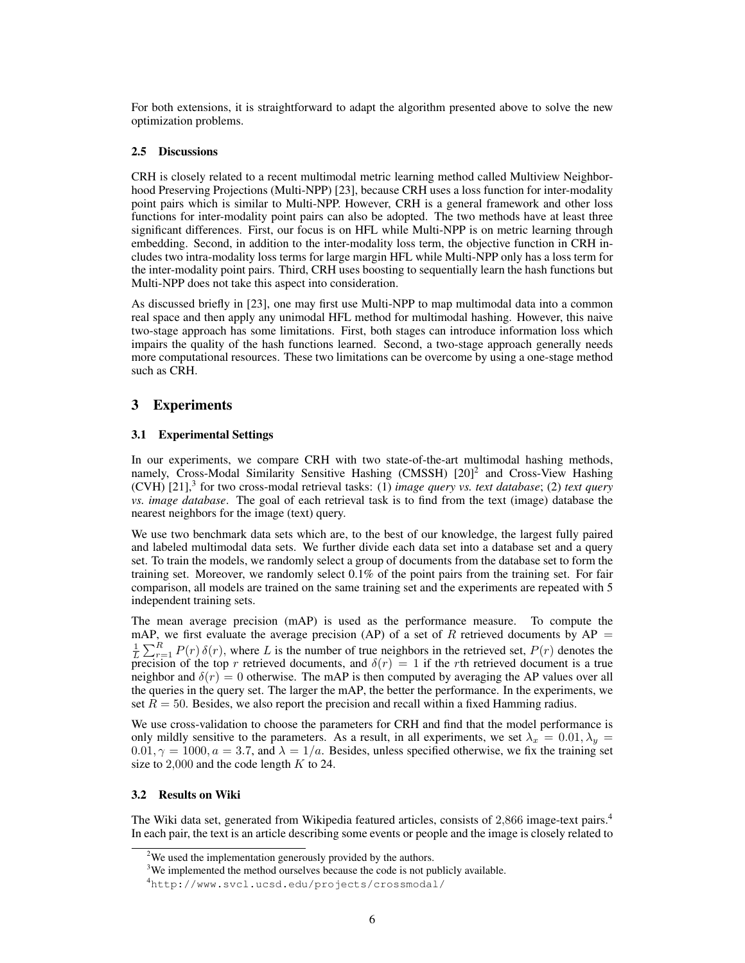For both extensions, it is straightforward to adapt the algorithm presented above to solve the new optimization problems.

### 2.5 Discussions

CRH is closely related to a recent multimodal metric learning method called Multiview Neighborhood Preserving Projections (Multi-NPP) [23], because CRH uses a loss function for inter-modality point pairs which is similar to Multi-NPP. However, CRH is a general framework and other loss functions for inter-modality point pairs can also be adopted. The two methods have at least three significant differences. First, our focus is on HFL while Multi-NPP is on metric learning through embedding. Second, in addition to the inter-modality loss term, the objective function in CRH includes two intra-modality loss terms for large margin HFL while Multi-NPP only has a loss term for the inter-modality point pairs. Third, CRH uses boosting to sequentially learn the hash functions but Multi-NPP does not take this aspect into consideration.

As discussed briefly in [23], one may first use Multi-NPP to map multimodal data into a common real space and then apply any unimodal HFL method for multimodal hashing. However, this naive two-stage approach has some limitations. First, both stages can introduce information loss which impairs the quality of the hash functions learned. Second, a two-stage approach generally needs more computational resources. These two limitations can be overcome by using a one-stage method such as CRH.

# 3 Experiments

### 3.1 Experimental Settings

In our experiments, we compare CRH with two state-of-the-art multimodal hashing methods, namely, Cross-Modal Similarity Sensitive Hashing (CMSSH)  $[20]$ <sup>2</sup> and Cross-View Hashing (CVH) [21],<sup>3</sup> for two cross-modal retrieval tasks: (1) *image query vs. text database*; (2) *text query vs. image database*. The goal of each retrieval task is to find from the text (image) database the nearest neighbors for the image (text) query.

We use two benchmark data sets which are, to the best of our knowledge, the largest fully paired and labeled multimodal data sets. We further divide each data set into a database set and a query set. To train the models, we randomly select a group of documents from the database set to form the training set. Moreover, we randomly select 0.1% of the point pairs from the training set. For fair comparison, all models are trained on the same training set and the experiments are repeated with 5 independent training sets.

The mean average precision (mAP) is used as the performance measure. To compute the mAP, we first evaluate the average precision (AP) of a set of R retrieved documents by  $AP =$  $\frac{1}{L}\sum_{r=1}^{R} P(r) \delta(r)$ , where L is the number of true neighbors in the retrieved set,  $P(r)$  denotes the precision of the top r retrieved documents, and  $\delta(r) = 1$  if the rth retrieved document is a true neighbor and  $\delta(r) = 0$  otherwise. The mAP is then computed by averaging the AP values over all the queries in the query set. The larger the mAP, the better the performance. In the experiments, we set  $R = 50$ . Besides, we also report the precision and recall within a fixed Hamming radius.

We use cross-validation to choose the parameters for CRH and find that the model performance is only mildly sensitive to the parameters. As a result, in all experiments, we set  $\lambda_x = 0.01, \lambda_y =$  $0.01, \gamma = 1000, a = 3.7$ , and  $\lambda = 1/a$ . Besides, unless specified otherwise, we fix the training set size to  $2,000$  and the code length  $K$  to 24.

### 3.2 Results on Wiki

The Wiki data set, generated from Wikipedia featured articles, consists of 2,866 image-text pairs.<sup>4</sup> In each pair, the text is an article describing some events or people and the image is closely related to

<sup>&</sup>lt;sup>2</sup>We used the implementation generously provided by the authors.

<sup>&</sup>lt;sup>3</sup>We implemented the method ourselves because the code is not publicly available.

<sup>4</sup>http://www.svcl.ucsd.edu/projects/crossmodal/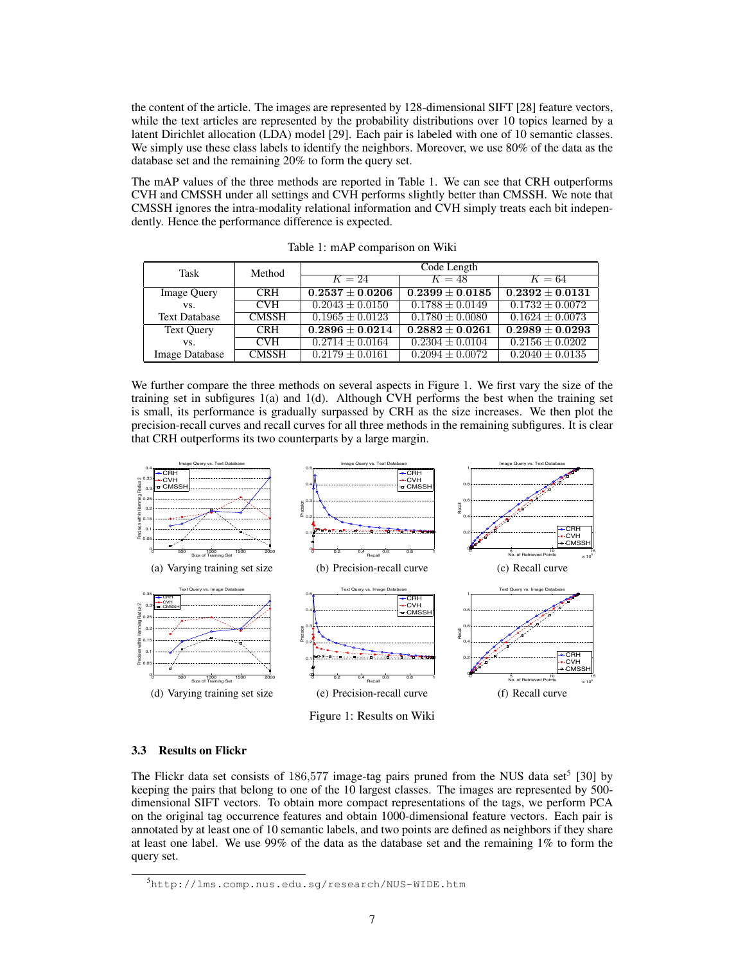the content of the article. The images are represented by 128-dimensional SIFT [28] feature vectors, while the text articles are represented by the probability distributions over 10 topics learned by a latent Dirichlet allocation (LDA) model [29]. Each pair is labeled with one of 10 semantic classes. We simply use these class labels to identify the neighbors. Moreover, we use 80% of the data as the database set and the remaining 20% to form the query set.

The mAP values of the three methods are reported in Table 1. We can see that CRH outperforms CVH and CMSSH under all settings and CVH performs slightly better than CMSSH. We note that CMSSH ignores the intra-modality relational information and CVH simply treats each bit independently. Hence the performance difference is expected.

| Task                  | Method                   | Code Length         |                     |                     |
|-----------------------|--------------------------|---------------------|---------------------|---------------------|
|                       |                          | $K=24$              | $K=48$              | $K=64$              |
| <b>Image Query</b>    | <b>CRH</b>               | $0.2537 \pm 0.0206$ | $0.2399 \pm 0.0185$ | $0.2392 \pm 0.0131$ |
| VS.                   | <b>CVH</b>               | $0.2043 \pm 0.0150$ | $0.1788 \pm 0.0149$ | $0.1732 \pm 0.0072$ |
| <b>Text Database</b>  | <b>CMSSH</b>             | $0.1965 \pm 0.0123$ | $0.1780 \pm 0.0080$ | $0.1624 \pm 0.0073$ |
| <b>Text Ouery</b>     | <b>CRH</b>               | $0.2896 \pm 0.0214$ | $0.2882 \pm 0.0261$ | $0.2989 \pm 0.0293$ |
| VS.                   | $\overline{\text{CV}}$ H | $0.2714 \pm 0.0164$ | $0.2304 \pm 0.0104$ | $0.2156 \pm 0.0202$ |
| <b>Image Database</b> | <b>CMSSH</b>             | $0.2179 + 0.0161$   | $0.2094 \pm 0.0072$ | $0.2040 \pm 0.0135$ |

Table 1: mAP comparison on Wiki

We further compare the three methods on several aspects in Figure 1. We first vary the size of the training set in subfigures 1(a) and 1(d). Although CVH performs the best when the training set is small, its performance is gradually surpassed by CRH as the size increases. We then plot the precision-recall curves and recall curves for all three methods in the remaining subfigures. It is clear that CRH outperforms its two counterparts by a large margin.



Figure 1: Results on Wiki

#### 3.3 Results on Flickr

The Flickr data set consists of  $186,577$  image-tag pairs pruned from the NUS data set<sup>5</sup> [30] by keeping the pairs that belong to one of the 10 largest classes. The images are represented by 500 dimensional SIFT vectors. To obtain more compact representations of the tags, we perform PCA on the original tag occurrence features and obtain 1000-dimensional feature vectors. Each pair is annotated by at least one of 10 semantic labels, and two points are defined as neighbors if they share at least one label. We use 99% of the data as the database set and the remaining 1% to form the query set.

<sup>5</sup>http://lms.comp.nus.edu.sg/research/NUS-WIDE.htm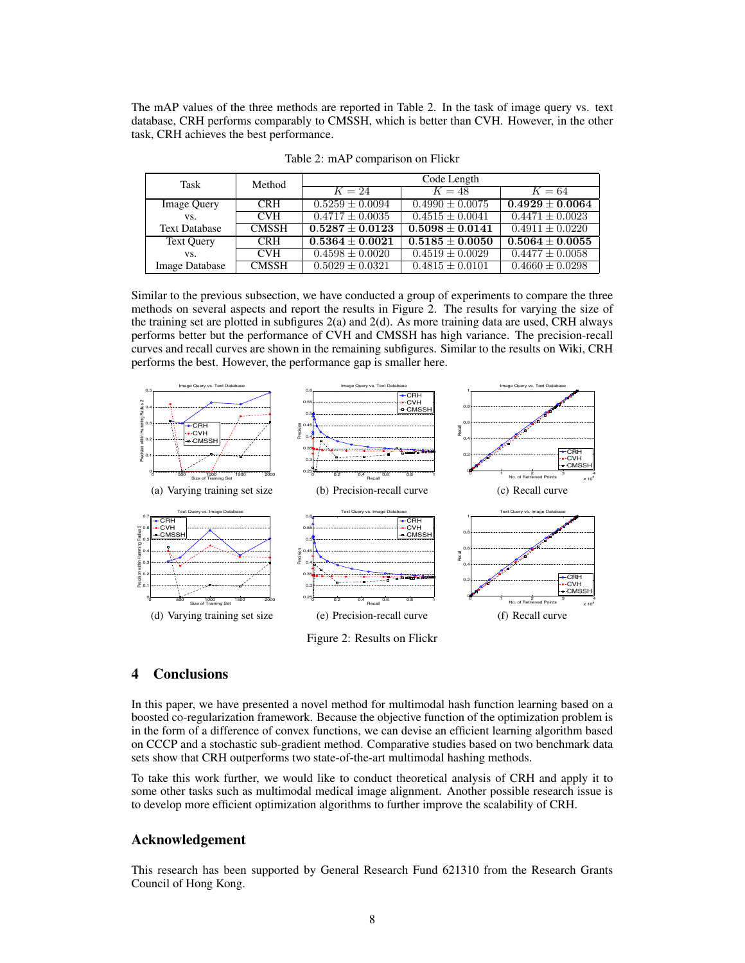The mAP values of the three methods are reported in Table 2. In the task of image query vs. text database, CRH performs comparably to CMSSH, which is better than CVH. However, in the other task, CRH achieves the best performance.

| Task                  | Method                   | Code Length         |                                |                     |
|-----------------------|--------------------------|---------------------|--------------------------------|---------------------|
|                       |                          | $K=24$              | $K=48$                         | $K=64$              |
| <b>Image Query</b>    | <b>CRH</b>               | $0.5259 \pm 0.0094$ | $0.4990 \pm 0.0075$            | $0.4929 \pm 0.0064$ |
| VS.                   | <b>CVH</b>               | $0.4717 \pm 0.0035$ | $0.4515 \pm 0.0041$            | $0.4471 \pm 0.0023$ |
| <b>Text Database</b>  | <b>CMSSH</b>             | $0.5287 + 0.0123$   | $0.5098 \pm 0.0141$            | $0.4911 \pm 0.0220$ |
| <b>Text Query</b>     | <b>CRH</b>               | $0.5364 \pm 0.0021$ | $\overline{0.5185 \pm 0.0050}$ | $0.5064 + 0.0055$   |
| VS.                   | $\overline{\text{CV}}$ H | $0.4598 \pm 0.0020$ | $0.4519 \pm 0.0029$            | $0.4477 \pm 0.0058$ |
| <b>Image Database</b> | <b>CMSSH</b>             | $0.5029 \pm 0.0321$ | $0.4815 \pm 0.0101$            | $0.4660 \pm 0.0298$ |

Table 2: mAP comparison on Flickr

Similar to the previous subsection, we have conducted a group of experiments to compare the three methods on several aspects and report the results in Figure 2. The results for varying the size of the training set are plotted in subfigures  $2(a)$  and  $2(d)$ . As more training data are used, CRH always performs better but the performance of CVH and CMSSH has high variance. The precision-recall curves and recall curves are shown in the remaining subfigures. Similar to the results on Wiki, CRH performs the best. However, the performance gap is smaller here.



# 4 Conclusions

In this paper, we have presented a novel method for multimodal hash function learning based on a boosted co-regularization framework. Because the objective function of the optimization problem is in the form of a difference of convex functions, we can devise an efficient learning algorithm based on CCCP and a stochastic sub-gradient method. Comparative studies based on two benchmark data sets show that CRH outperforms two state-of-the-art multimodal hashing methods.

To take this work further, we would like to conduct theoretical analysis of CRH and apply it to some other tasks such as multimodal medical image alignment. Another possible research issue is to develop more efficient optimization algorithms to further improve the scalability of CRH.

### Acknowledgement

This research has been supported by General Research Fund 621310 from the Research Grants Council of Hong Kong.